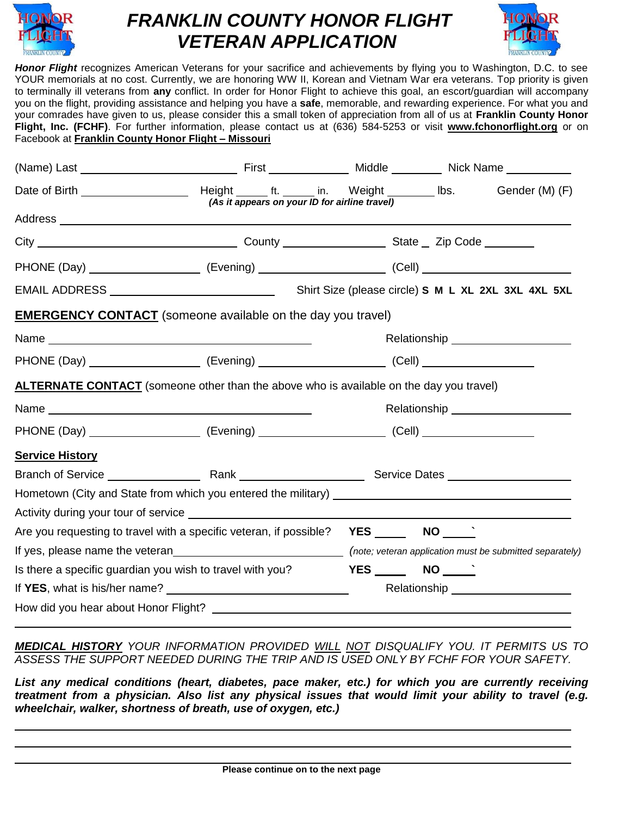

## *FRANKLIN COUNTY HONOR FLIGHT VETERAN APPLICATION*



*Honor Flight* recognizes American Veterans for your sacrifice and achievements by flying you to Washington, D.C. to see YOUR memorials at no cost. Currently, we are honoring WW II, Korean and Vietnam War era veterans. Top priority is given to terminally ill veterans from **any** conflict. In order for Honor Flight to achieve this goal, an escort/guardian will accompany you on the flight, providing assistance and helping you have a **safe**, memorable, and rewarding experience. For what you and your comrades have given to us, please consider this a small token of appreciation from all of us at **Franklin County Honor Flight, Inc. (FCHF)**. For further information, please contact us at (636) 584-5253 or visit **[www.fchonorflight.org](http://www.fchonorflight.org/)** or on Facebook at **Franklin County Honor Flight – Missouri**

|                                                           | <b>EMERGENCY CONTACT</b> (someone available on the day you travel)                             |                                                                                                     |                   |                                     |  |
|-----------------------------------------------------------|------------------------------------------------------------------------------------------------|-----------------------------------------------------------------------------------------------------|-------------------|-------------------------------------|--|
|                                                           |                                                                                                |                                                                                                     |                   |                                     |  |
|                                                           |                                                                                                | PHONE (Day) _______________________ (Evening) ________________________ (Cell) _____________________ |                   |                                     |  |
|                                                           | <b>ALTERNATE CONTACT</b> (someone other than the above who is available on the day you travel) |                                                                                                     |                   |                                     |  |
|                                                           |                                                                                                |                                                                                                     |                   |                                     |  |
|                                                           |                                                                                                |                                                                                                     |                   |                                     |  |
| <b>Service History</b>                                    |                                                                                                |                                                                                                     |                   |                                     |  |
|                                                           |                                                                                                |                                                                                                     |                   |                                     |  |
|                                                           |                                                                                                |                                                                                                     |                   |                                     |  |
|                                                           |                                                                                                |                                                                                                     |                   |                                     |  |
|                                                           | Are you requesting to travel with a specific veteran, if possible? YES _______ NO ______       |                                                                                                     |                   |                                     |  |
|                                                           |                                                                                                |                                                                                                     |                   |                                     |  |
| Is there a specific guardian you wish to travel with you? |                                                                                                |                                                                                                     | $YES$ NO $\qquad$ |                                     |  |
|                                                           |                                                                                                |                                                                                                     |                   | Relationship ______________________ |  |
|                                                           |                                                                                                |                                                                                                     |                   |                                     |  |

*MEDICAL HISTORY YOUR INFORMATION PROVIDED WILL NOT DISQUALIFY YOU. IT PERMITS US TO ASSESS THE SUPPORT NEEDED DURING THE TRIP AND IS USED ONLY BY FCHF FOR YOUR SAFETY.*

*List any medical conditions (heart, diabetes, pace maker, etc.) for which you are currently receiving treatment from a physician. Also list any physical issues that would limit your ability to travel (e.g. wheelchair, walker, shortness of breath, use of oxygen, etc.)*